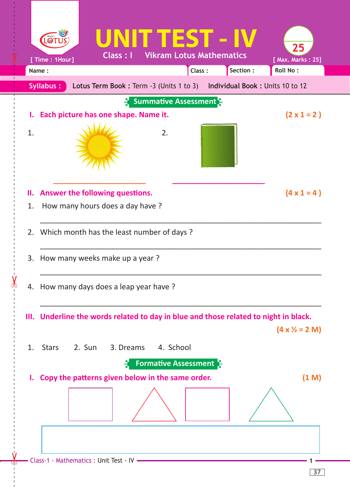

 $\prec$ 

37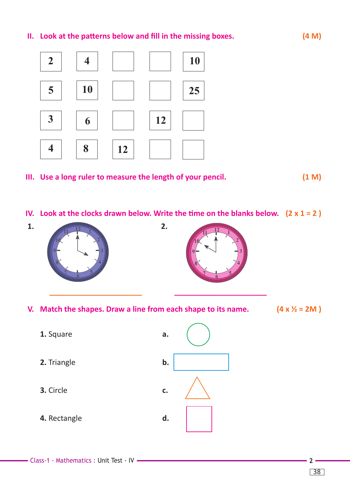## **II. Look at the patterns below and fill in the missing boxes. (4 M)**



- **III. Use a long ruler to measure the length of your pencil. (1 M)**
- **IV. Look at the clocks drawn below. Write the time on the blanks below. (2 x 1 = 2 )**



**V. Match the shapes. Draw a line from each shape to its name. (4 x ½ = 2M ) 12 12 4 8 <sup>5</sup> <sup>6</sup> 4 <sup>5</sup> <sup>6</sup>**

 **1.** Square **a. 9**

- **2.** Triangle **b. <sup>5</sup> <sup>6</sup> <sup>7</sup>**
	- **3.** Circle **c.**
	- **4.** Rectangle **d.**



Class-1 - Mathematics : Unit Test - IV **2**